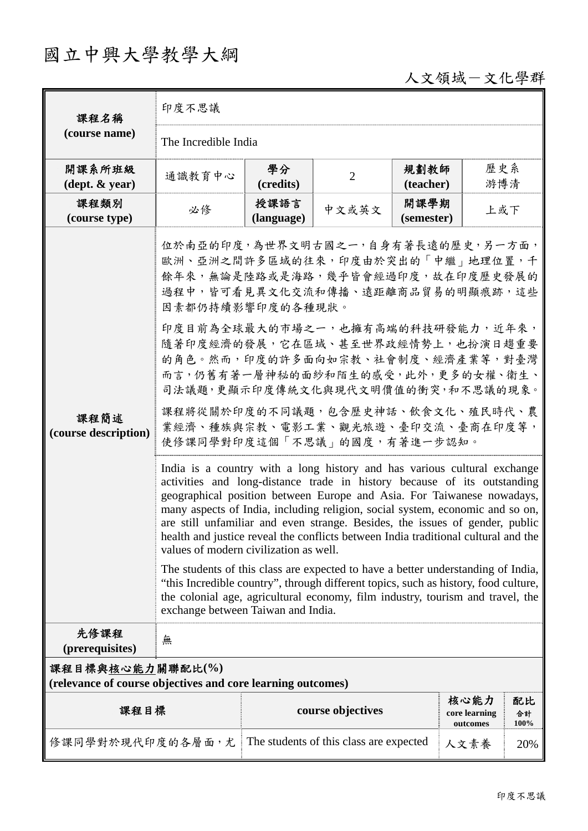## 國立中興大學教學大綱

人文領域-文化學群

| 課程名稱                                                                            | 印度不思議                                                                                                                                                                                                                                                                                                                                                                                                                                                                                                                                                                                                                                                                                                                                                                                                                                                                                                                                                                                                                                                                                                                                                                                                                                                                                                              |                    |                                         |                   |                                   |                  |  |  |
|---------------------------------------------------------------------------------|--------------------------------------------------------------------------------------------------------------------------------------------------------------------------------------------------------------------------------------------------------------------------------------------------------------------------------------------------------------------------------------------------------------------------------------------------------------------------------------------------------------------------------------------------------------------------------------------------------------------------------------------------------------------------------------------------------------------------------------------------------------------------------------------------------------------------------------------------------------------------------------------------------------------------------------------------------------------------------------------------------------------------------------------------------------------------------------------------------------------------------------------------------------------------------------------------------------------------------------------------------------------------------------------------------------------|--------------------|-----------------------------------------|-------------------|-----------------------------------|------------------|--|--|
| (course name)                                                                   | The Incredible India                                                                                                                                                                                                                                                                                                                                                                                                                                                                                                                                                                                                                                                                                                                                                                                                                                                                                                                                                                                                                                                                                                                                                                                                                                                                                               |                    |                                         |                   |                                   |                  |  |  |
| 開課系所班級<br>$(\text{dept.} \& \text{ year})$                                      | 通識教育中心                                                                                                                                                                                                                                                                                                                                                                                                                                                                                                                                                                                                                                                                                                                                                                                                                                                                                                                                                                                                                                                                                                                                                                                                                                                                                                             | 學分<br>(credits)    | $\overline{2}$                          | 規劃教師<br>(teacher) | 歷史系<br>游博清                        |                  |  |  |
| 課程類別<br>(course type)                                                           | 必修                                                                                                                                                                                                                                                                                                                                                                                                                                                                                                                                                                                                                                                                                                                                                                                                                                                                                                                                                                                                                                                                                                                                                                                                                                                                                                                 | 授課語言<br>(language) | 中文或英文                                   | 開課學期              | 上或下                               |                  |  |  |
| 課程簡述<br>(course description)                                                    | (semester)<br>位於南亞的印度,為世界文明古國之一,自身有著長遠的歷史,另一方面,<br>歐洲、亞洲之間許多區域的往來,印度由於突出的「中繼」地理位置,千<br>餘年來,無論是陸路或是海路,幾乎皆會經過印度,故在印度歷史發展的<br>過程中,皆可看見異文化交流和傳播、遠距離商品貿易的明顯痕跡,這些<br>因素都仍持續影響印度的各種現狀。<br>印度目前為全球最大的市場之一,也擁有高端的科技研發能力,近年來,<br>隨著印度經濟的發展,它在區域、甚至世界政經情勢上,也扮演日趨重要<br>的角色。然而,印度的許多面向如宗教、社會制度、經濟產業等,對臺灣<br>而言,仍舊有著一層神秘的面紗和陌生的感受,此外,更多的女權、衛生、<br>司法議題,更顯示印度傳統文化與現代文明價值的衝突,和不思議的現象。<br>課程將從關於印度的不同議題,包含歷史神話、飲食文化、殖民時代、農<br>業經濟、種族與宗教、電影工業、觀光旅遊、臺印交流、臺商在印度等,<br>使修課同學對印度這個「不思議」的國度,有著進一步認知。<br>India is a country with a long history and has various cultural exchange<br>activities and long-distance trade in history because of its outstanding<br>geographical position between Europe and Asia. For Taiwanese nowadays,<br>many aspects of India, including religion, social system, economic and so on,<br>are still unfamiliar and even strange. Besides, the issues of gender, public<br>health and justice reveal the conflicts between India traditional cultural and the<br>values of modern civilization as well.<br>The students of this class are expected to have a better understanding of India,<br>"this Incredible country", through different topics, such as history, food culture,<br>the colonial age, agricultural economy, film industry, tourism and travel, the<br>exchange between Taiwan and India. |                    |                                         |                   |                                   |                  |  |  |
| 先修課程<br>(prerequisites)                                                         | 無                                                                                                                                                                                                                                                                                                                                                                                                                                                                                                                                                                                                                                                                                                                                                                                                                                                                                                                                                                                                                                                                                                                                                                                                                                                                                                                  |                    |                                         |                   |                                   |                  |  |  |
| 課程目標與核心能力關聯配比(%)<br>(relevance of course objectives and core learning outcomes) |                                                                                                                                                                                                                                                                                                                                                                                                                                                                                                                                                                                                                                                                                                                                                                                                                                                                                                                                                                                                                                                                                                                                                                                                                                                                                                                    |                    |                                         |                   |                                   |                  |  |  |
| 課程目標                                                                            |                                                                                                                                                                                                                                                                                                                                                                                                                                                                                                                                                                                                                                                                                                                                                                                                                                                                                                                                                                                                                                                                                                                                                                                                                                                                                                                    |                    | course objectives                       |                   | 核心能力<br>core learning<br>outcomes | 配比<br>合計<br>100% |  |  |
| 修課同學對於現代印度的各層面,尤                                                                |                                                                                                                                                                                                                                                                                                                                                                                                                                                                                                                                                                                                                                                                                                                                                                                                                                                                                                                                                                                                                                                                                                                                                                                                                                                                                                                    |                    | The students of this class are expected |                   | 人文素養                              | 20%              |  |  |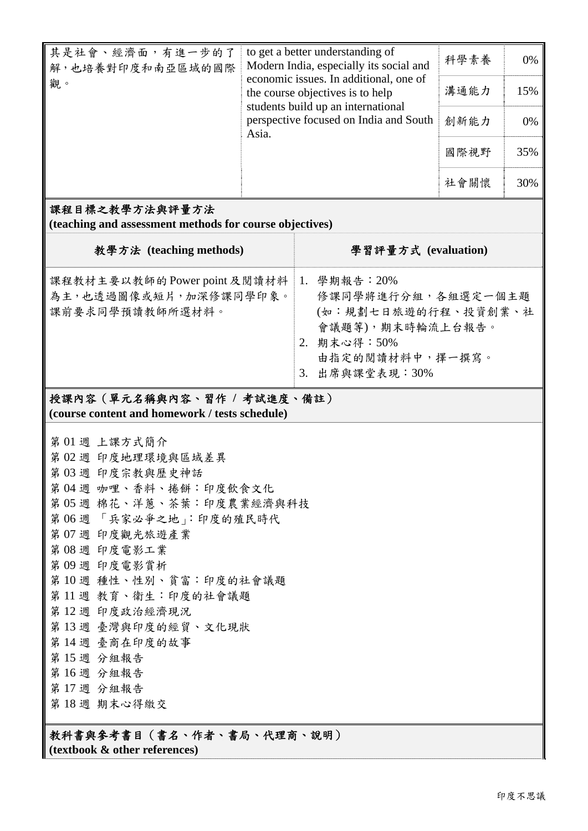| 其是社會、經濟面,有進一步的了<br>解,也培養對印度和南亞區域的國際<br>觀。 | to get a better understanding of<br>Modern India, especially its social and<br>economic issues. In additional, one of<br>the course objectives is to help<br>students build up an international<br>perspective focused on India and South<br>Asia. | 科學素養 | 0%  |
|-------------------------------------------|----------------------------------------------------------------------------------------------------------------------------------------------------------------------------------------------------------------------------------------------------|------|-----|
|                                           |                                                                                                                                                                                                                                                    | 溝通能力 | 15% |
|                                           |                                                                                                                                                                                                                                                    | 創新能力 | 0%  |
|                                           |                                                                                                                                                                                                                                                    | 國際視野 | 35% |
|                                           |                                                                                                                                                                                                                                                    | 社會關懷 | 30% |

## 課程目標之教學方法與評量方法

**(teaching and assessment methods for course objectives)** 

| 教學方法 (teaching methods)                                                                                                                                                                                                                                                                                                                | 學習評量方式 (evaluation)                                                                                                                      |  |  |  |
|----------------------------------------------------------------------------------------------------------------------------------------------------------------------------------------------------------------------------------------------------------------------------------------------------------------------------------------|------------------------------------------------------------------------------------------------------------------------------------------|--|--|--|
| 課程教材主要以教師的 Power point 及閲讀材料<br>為主,也透過圖像或短片,加深修課同學印象。<br>課前要求同學預讀教師所選材料。                                                                                                                                                                                                                                                               | 1. 學期報告: 20%<br><b>修課同學將進行分組,各組選定一個主題</b><br>(如:規劃七日旅遊的行程、投資創業、社<br>會議題等),期末時輪流上台報告。<br>2. 期末心得:50%<br>由指定的閲讀材料中,擇一撰寫。<br>3. 出席與課堂表現:30% |  |  |  |
| 授課內容(單元名稱與內容、習作 / 考試進度、備註)<br>(course content and homework / tests schedule)                                                                                                                                                                                                                                                           |                                                                                                                                          |  |  |  |
| 第01週 上課方式簡介<br>第02週 印度地理環境與區域差異<br>第03週 印度宗教與歷史神話<br>第04週 咖哩、香料、捲餅:印度飲食文化<br>第05週棉花、洋蔥、茶葉:印度農業經濟與科技<br>第06週「兵家必爭之地」:印度的殖民時代<br>第07週 印度觀光旅遊產業<br>第08週 印度電影工業<br>第09週 印度電影賞析<br>第10週種性、性別、貧富:印度的社會議題<br>第11週 教育、衛生:印度的社會議題<br>第12週 印度政治經濟現況<br>第13週 臺灣與印度的經貿、文化現狀<br>第14週 臺商在印度的故事<br>第15週 分組報告<br>第16週 分組報告<br>第17週 分組報告<br>第18週 期末心得繳交 |                                                                                                                                          |  |  |  |
| 教科書與參考書目(書名、作者、書局、代理商、說明)                                                                                                                                                                                                                                                                                                              |                                                                                                                                          |  |  |  |

**(textbook & other references)**